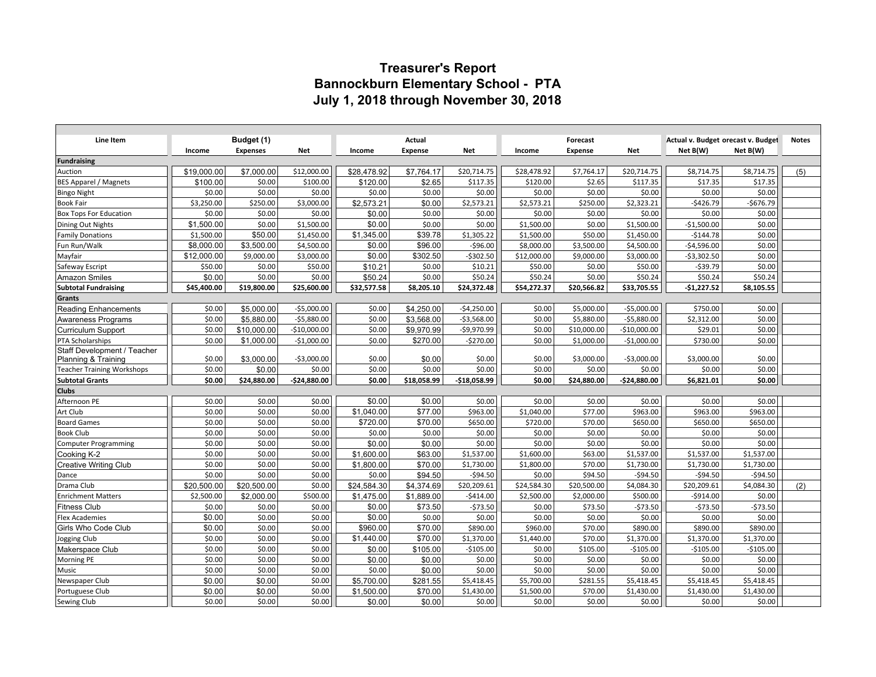# **Treasurer's Report Bannockburn Elementary School - PTA July 1, 2018 through November 30, 2018**

| Line Item                                   | Budget (1)       |                  |                  | Actual                 |                    |                      | Forecast           |                    |                    | Actual v. Budget orecast v. Budget |                    | <b>Notes</b> |
|---------------------------------------------|------------------|------------------|------------------|------------------------|--------------------|----------------------|--------------------|--------------------|--------------------|------------------------------------|--------------------|--------------|
|                                             | Income           | <b>Expenses</b>  | Net              | Income                 | <b>Expense</b>     | Net                  | Income             | <b>Expense</b>     | <b>Net</b>         | Net B(W)                           | Net B(W)           |              |
| Fundraising                                 |                  |                  |                  |                        |                    |                      |                    |                    |                    |                                    |                    |              |
| Auction                                     | \$19,000.00      | \$7,000.00       | \$12,000.00      | \$28,478.92            | \$7,764.17         | \$20,714.75          | \$28,478.92        | \$7,764.17         | \$20,714.75        | \$8,714.75                         | \$8,714.75         | (5)          |
| <b>BES Apparel / Magnets</b>                | \$100.00         | \$0.00           | \$100.00         | \$120.00               | \$2.65             | \$117.35             | \$120.00           | \$2.65             | \$117.35           | \$17.35                            | \$17.35            |              |
| <b>Bingo Night</b>                          | \$0.00           | \$0.00           | \$0.00           | \$0.00                 | \$0.00             | \$0.00               | \$0.00             | \$0.00             | \$0.00             | \$0.00                             | \$0.00             |              |
| <b>Book Fair</b>                            | \$3,250.00       | \$250.00         | \$3,000.00       | \$2,573.21             | \$0.00             | \$2,573.21           | \$2,573.21         | \$250.00           | \$2,323.21         | $-$ \$426.79                       | $-$676.79$         |              |
| <b>Box Tops For Education</b>               | \$0.00           | \$0.00           | \$0.00           | \$0.00                 | \$0.00             | \$0.00               | \$0.00             | \$0.00             | \$0.00             | \$0.00                             | \$0.00             |              |
| <b>Dining Out Nights</b>                    | \$1,500.00       | \$0.00           | \$1,500.00       | \$0.00                 | \$0.00             | \$0.00               | \$1,500.00         | \$0.00             | \$1,500.00         | $-$1,500.00$                       | \$0.00             |              |
| <b>Family Donations</b>                     | \$1,500.00       | \$50.00          | \$1,450.00       | \$1,345.00             | \$39.78            | \$1,305.22           | \$1,500.00         | \$50.00            | \$1,450.00         | $-$144.78$                         | \$0.00             |              |
| Fun Run/Walk                                | \$8,000.00       | \$3,500.00       | \$4,500.00       | \$0.00                 | \$96.00            | $-$96.00$            | \$8,000.00         | \$3,500.00         | \$4,500.00         | $-$4,596.00$                       | \$0.00             |              |
| Mayfair                                     | \$12,000.00      | \$9,000.00       | \$3,000.00       | \$0.00                 | \$302.50           | $-5302.50$           | \$12,000.00        | \$9,000.00         | \$3,000.00         | $-$3,302.50$                       | \$0.00             |              |
| Safeway Escript                             | \$50.00          | \$0.00           | \$50.00          | \$10.21                | \$0.00             | \$10.21              | \$50.00            | \$0.00             | \$50.00            | $-$ \$39.79                        | \$0.00             |              |
| <b>Amazon Smiles</b>                        | \$0.00           | \$0.00           | \$0.00           | \$50.24                | \$0.00             | \$50.24              | \$50.24            | \$0.00             | \$50.24            | \$50.24                            | \$50.24            |              |
| <b>Subtotal Fundraising</b>                 | \$45,400.00      | \$19,800.00      | \$25,600.00      | \$32,577.58            | \$8,205.10         | \$24,372.48          | \$54,272.37        | \$20,566.82        | \$33,705.55        | $-$1,227.52$                       | \$8,105.55         |              |
| Grants                                      |                  |                  |                  |                        |                    |                      |                    |                    |                    |                                    |                    |              |
| <b>Reading Enhancements</b>                 | \$0.00           | \$5,000.00       | $-$5,000.00$     | \$0.00                 | \$4,250.00         | $-$4,250.00$         | \$0.00             | \$5,000.00         | $-$5,000.00$       | \$750.00                           | \$0.00             |              |
| Awareness Programs                          | \$0.00           | \$5.880.00       | $-$5,880.00$     | \$0.00                 | \$3.568.00         | $-53,568.00$         | \$0.00             | \$5,880.00         | $-55,880.00$       | \$2,312.00                         | \$0.00             |              |
| <b>Curriculum Support</b>                   | \$0.00           | \$10,000.00      | $-$10,000.00$    | \$0.00                 | \$9,970.99         | $-$9,970.99$         | \$0.00             | \$10,000.00        | $-$10,000.00$      | \$29.01                            | \$0.00             |              |
| PTA Scholarships                            | \$0.00           | \$1,000.00       | $-$1,000.00$     | \$0.00                 | \$270.00           | $-$270.00$           | \$0.00             | \$1,000.00         | $-$1,000.00$       | \$730.00                           | \$0.00             |              |
| Staff Development / Teacher                 |                  |                  |                  |                        |                    |                      |                    |                    |                    |                                    |                    |              |
| Planning & Training                         | \$0.00           | \$3.000.00       | $-$3,000.00$     | \$0.00                 | \$0.00             | \$0.00               | \$0.00             | \$3,000.00         | $-53,000.00$       | \$3,000.00                         | \$0.00             |              |
| <b>Teacher Training Workshops</b>           | \$0.00           | \$0.00           | \$0.00           | \$0.00                 | \$0.00             | \$0.00               | \$0.00             | \$0.00             | \$0.00             | \$0.00                             | \$0.00             |              |
| <b>Subtotal Grants</b>                      | \$0.00           | \$24,880.00      | $-$24,880.00$    | \$0.00                 | \$18,058.99        | $-518,058.99$        | \$0.00             | \$24,880.00        | $-$24,880.00$      | \$6,821.01                         | \$0.00             |              |
| <b>Clubs</b>                                |                  |                  |                  |                        |                    |                      |                    |                    |                    |                                    |                    |              |
| Afternoon PE                                | \$0.00           | \$0.00           | \$0.00           | \$0.00                 | \$0.00             | \$0.00               | \$0.00             | \$0.00             | \$0.00             | \$0.00                             | \$0.00             |              |
| Art Club                                    | \$0.00           | \$0.00           | \$0.00           | \$1,040.00<br>\$720.00 | \$77.00<br>\$70.00 | \$963.00             | \$1,040.00         | \$77.00            | \$963.00           | \$963.00                           | \$963.00           |              |
| <b>Board Games</b><br><b>Book Club</b>      | \$0.00<br>\$0.00 | \$0.00<br>\$0.00 | \$0.00<br>\$0.00 | \$0.00                 | \$0.00             | \$650.00<br>\$0.00   | \$720.00<br>\$0.00 | \$70.00<br>\$0.00  | \$650.00<br>\$0.00 | \$650.00<br>\$0.00                 | \$650.00<br>\$0.00 |              |
|                                             | \$0.00           | \$0.00           | \$0.00           | \$0.00                 | \$0.00             | \$0.00               | \$0.00             | \$0.00             | \$0.00             | \$0.00                             | \$0.00             |              |
| <b>Computer Programming</b>                 | \$0.00           | \$0.00           |                  |                        |                    |                      |                    |                    |                    |                                    |                    |              |
| Cooking K-2<br><b>Creative Writing Club</b> |                  |                  |                  |                        |                    |                      |                    |                    |                    |                                    |                    |              |
|                                             |                  |                  | \$0.00           | \$1,600.00             | \$63.00            | \$1,537.00           | \$1,600.00         | \$63.00            | \$1,537.00         | \$1,537.00                         | \$1,537.00         |              |
|                                             | \$0.00           | \$0.00           | \$0.00           | \$1,800.00             | \$70.00            | \$1,730.00           | \$1,800.00         | \$70.00            | \$1,730.00         | \$1,730.00                         | \$1,730.00         |              |
| Dance                                       | \$0.00           | \$0.00           | \$0.00           | \$0.00                 | \$94.50            | $-594.50$            | \$0.00             | \$94.50            | $-$ \$94.50        | $-$ \$94.50                        | $-$ \$94.50        |              |
| Drama Club                                  | \$20,500.00      | \$20,500.00      | \$0.00           | \$24.584.30            | \$4.374.69         | \$20,209.61          | \$24,584.30        | \$20,500.00        | \$4,084.30         | \$20,209.61                        | \$4,084.30         | (2)          |
| <b>Enrichment Matters</b>                   | \$2,500.00       | \$2,000.00       | \$500.00         | \$1,475.00             | \$1,889.00         | $-$414.00$           | \$2,500.00         | \$2,000.00         | \$500.00           | $-$914.00$                         | \$0.00             |              |
| <b>Fitness Club</b>                         | \$0.00           | \$0.00           | \$0.00           | \$0.00                 | \$73.50            | $-573.50$            | \$0.00             | \$73.50            | $-573.50$          | $-573.50$                          | $-573.50$          |              |
| <b>Flex Academies</b>                       | \$0.00           | \$0.00           | \$0.00           | \$0.00                 | \$0.00             | \$0.00               | \$0.00             | \$0.00             | \$0.00             | \$0.00                             | \$0.00             |              |
| Girls Who Code Club                         | \$0.00<br>\$0.00 | \$0.00<br>\$0.00 | \$0.00<br>\$0.00 | \$960.00               | \$70.00            | \$890.00             | \$960.00           | \$70.00<br>\$70.00 | \$890.00           | \$890.00                           | \$890.00           |              |
| Jogging Club                                |                  |                  |                  | \$1,440.00             | \$70.00            | \$1,370.00           | \$1,440.00         |                    | \$1,370.00         | \$1,370.00                         | \$1,370.00         |              |
| Makerspace Club                             | \$0.00           | \$0.00           | \$0.00           | \$0.00                 | \$105.00           | $-$105.00$           | \$0.00             | \$105.00           | $-$105.00$         | $-5105.00$                         | $-$105.00$         |              |
| Morning PE<br>Music                         | \$0.00<br>\$0.00 | \$0.00<br>\$0.00 | \$0.00           | \$0.00<br>\$0.00       | \$0.00<br>\$0.00   | \$0.00               | \$0.00<br>\$0.00   | \$0.00<br>\$0.00   | \$0.00<br>\$0.00   | \$0.00<br>\$0.00                   | \$0.00<br>\$0.00   |              |
|                                             | \$0.00           | \$0.00           | \$0.00<br>\$0.00 | \$5,700.00             | \$281.55           | \$0.00<br>\$5,418.45 | \$5,700.00         | \$281.55           | \$5,418.45         | \$5,418.45                         | \$5,418.45         |              |
| Newspaper Club<br>Portuguese Club           | \$0.00           | \$0.00           | \$0.00           | \$1,500.00             | \$70.00            | \$1,430.00           | \$1,500.00         | \$70.00            | \$1,430.00         | \$1,430.00                         | \$1,430.00         |              |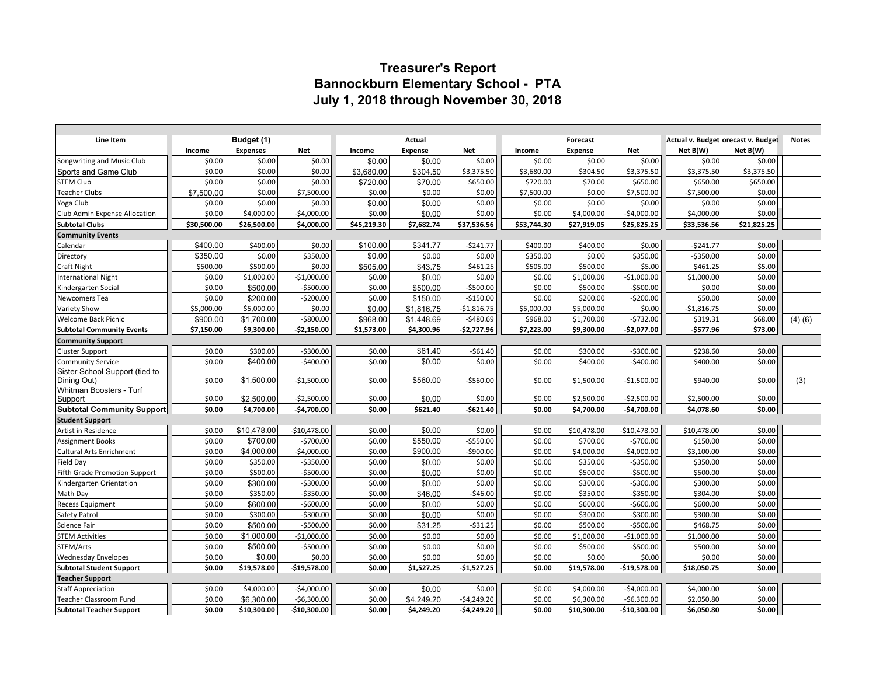# **Treasurer's Report Bannockburn Elementary School - PTA July 1, 2018 through November 30, 2018**

| <b>Line Item</b>                  |             | Budget (1)      |               |             | Actual         |              |             | Forecast       |               | Actual v. Budget orecast v. Budget |             | <b>Notes</b> |
|-----------------------------------|-------------|-----------------|---------------|-------------|----------------|--------------|-------------|----------------|---------------|------------------------------------|-------------|--------------|
|                                   | Income      | <b>Expenses</b> | Net           | Income      | <b>Expense</b> | <b>Net</b>   | Income      | <b>Expense</b> | <b>Net</b>    | Net B(W)                           | Net B(W)    |              |
| Songwriting and Music Club        | \$0.00      | \$0.00          | \$0.00        | \$0.00      | \$0.00         | \$0.00       | \$0.00      | \$0.00         | \$0.00        | \$0.00                             | \$0.00      |              |
| Sports and Game Club              | \$0.00      | \$0.00          | \$0.00        | \$3,680.00  | \$304.50       | \$3,375.50   | \$3,680.00  | \$304.50       | \$3,375.50    | \$3,375.50                         | \$3,375.50  |              |
| <b>STEM Club</b>                  | \$0.00      | \$0.00          | \$0.00        | \$720.00    | \$70.00        | \$650.00     | \$720.00    | \$70.00        | \$650.00      | \$650.00                           | \$650.00    |              |
| <b>Teacher Clubs</b>              | \$7,500.00  | \$0.00          | \$7,500.00    | \$0.00      | \$0.00         | \$0.00       | \$7,500.00  | \$0.00         | \$7,500.00    | $-$7,500.00$                       | \$0.00      |              |
| Yoga Club                         | \$0.00      | \$0.00          | \$0.00        | \$0.00      | \$0.00         | \$0.00       | \$0.00      | \$0.00         | \$0.00        | \$0.00                             | \$0.00      |              |
| Club Admin Expense Allocation     | \$0.00      | \$4,000.00      | $-$4,000.00$  | \$0.00      | \$0.00         | \$0.00       | \$0.00      | \$4,000.00     | $-$4,000.00$  | \$4,000.00                         | \$0.00      |              |
| <b>Subtotal Clubs</b>             | \$30,500.00 | \$26,500.00     | \$4,000.00    | \$45,219.30 | \$7,682.74     | \$37,536.56  | \$53,744.30 | \$27,919.05    | \$25,825.25   | \$33,536.56                        | \$21,825.25 |              |
| <b>Community Events</b>           |             |                 |               |             |                |              |             |                |               |                                    |             |              |
| Calendar                          | \$400.00    | \$400.00        | \$0.00        | \$100.00    | \$341.77       | $-5241.77$   | \$400.00    | \$400.00       | \$0.00        | $-5241.77$                         | \$0.00      |              |
| Directory                         | \$350.00    | \$0.00          | \$350.00      | \$0.00      | \$0.00         | \$0.00       | \$350.00    | \$0.00         | \$350.00      | $-5350.00$                         | \$0.00      |              |
| Craft Night                       | \$500.00    | \$500.00        | \$0.00        | \$505.00    | \$43.75        | \$461.25     | \$505.00    | \$500.00       | \$5.00        | \$461.25                           | \$5.00      |              |
| <b>International Night</b>        | \$0.00      | \$1,000.00      | $-$1,000.00$  | \$0.00      | \$0.00         | \$0.00       | \$0.00      | \$1,000.00     | $-$1,000.00$  | \$1,000.00                         | \$0.00      |              |
| Kindergarten Social               | \$0.00      | \$500.00        | $-$500.00$    | \$0.00      | \$500.00       | $-$500.00$   | \$0.00      | \$500.00       | $-$500.00$    | \$0.00                             | \$0.00      |              |
| Newcomers Tea                     | \$0.00      | \$200.00        | $-$200.00$    | \$0.00      | \$150.00       | $-$150.00$   | \$0.00      | \$200.00       | $-$200.00$    | \$50.00                            | \$0.00      |              |
| <b>Variety Show</b>               | \$5,000.00  | \$5,000.00      | \$0.00        | \$0.00      | \$1,816.75     | $-$1,816.75$ | \$5,000.00  | \$5,000.00     | \$0.00        | $-$1,816.75$                       | \$0.00      |              |
| <b>Welcome Back Picnic</b>        | \$900.00    | \$1,700.00      | $-$800.00$    | \$968.00    | \$1,448.69     | $-5480.69$   | \$968.00    | \$1,700.00     | $-5732.00$    | \$319.31                           | \$68.00     | (4)(6)       |
| <b>Subtotal Community Events</b>  | \$7,150.00  | \$9,300.00      | $-52,150.00$  | \$1,573.00  | \$4,300.96     | $-$2,727.96$ | \$7,223.00  | \$9,300.00     | $-$2,077.00$  | $-$577.96$                         | \$73.00     |              |
| <b>Community Support</b>          |             |                 |               |             |                |              |             |                |               |                                    |             |              |
| <b>Cluster Support</b>            | \$0.00      | \$300.00        | $-5300.00$    | \$0.00      | \$61.40        | $-561.40$    | \$0.00      | \$300.00       | $-5300.00$    | \$238.60                           | \$0.00      |              |
| <b>Community Service</b>          | \$0.00      | \$400.00        | $-$400.00$    | \$0.00      | \$0.00         | \$0.00       | \$0.00      | \$400.00       | $-$ \$400.00  | \$400.00                           | \$0.00      |              |
| Sister School Support (tied to    |             |                 |               |             |                |              |             |                |               |                                    |             |              |
| Dining Out)                       | \$0.00      | \$1,500.00      | $-$1,500.00$  | \$0.00      | \$560.00       | $-$560.00$   | \$0.00      | \$1,500.00     | $-$1,500.00$  | \$940.00                           | \$0.00      | (3)          |
| Whitman Boosters - Turf           |             |                 |               |             |                |              |             |                |               |                                    |             |              |
| Support                           | \$0.00      | \$2,500.00      | $-$2,500.00$  | \$0.00      | \$0.00         | \$0.00       | \$0.00      | \$2,500.00     | $-$2,500.00$  | \$2,500.00                         | \$0.00      |              |
| <b>Subtotal Community Support</b> | \$0.00      | \$4,700.00      | $-$4,700.00$  | \$0.00      | \$621.40       | $-5621.40$   | \$0.00      | \$4,700.00     | $-$4,700.00$  | \$4,078.60                         | \$0.00      |              |
| <b>Student Support</b>            |             |                 |               |             |                |              |             |                |               |                                    |             |              |
| Artist in Residence               | \$0.00      | \$10,478.00     | $-$10,478.00$ | \$0.00      | \$0.00         | \$0.00       | \$0.00      | \$10,478.00    | $-$10,478.00$ | \$10,478.00                        | \$0.00      |              |
| <b>Assignment Books</b>           | \$0.00      | \$700.00        | $-5700.00$    | \$0.00      | \$550.00       | $-$550.00$   | \$0.00      | \$700.00       | $-5700.00$    | \$150.00                           | \$0.00      |              |
| <b>Cultural Arts Enrichment</b>   | \$0.00      | \$4,000.00      | $-$4,000.00$  | \$0.00      | \$900.00       | $-$900.00$   | \$0.00      | \$4,000.00     | $-$4,000.00$  | \$3,100.00                         | \$0.00      |              |
| Field Day                         | \$0.00      | \$350.00        | $-$350.00$    | \$0.00      | \$0.00         | \$0.00       | \$0.00      | \$350.00       | $-$ \$350.00  | \$350.00                           | \$0.00      |              |
| Fifth Grade Promotion Support     | \$0.00      | \$500.00        | $-$500.00$    | \$0.00      | \$0.00         | \$0.00       | \$0.00      | \$500.00       | $-$500.00$    | \$500.00                           | \$0.00      |              |
| Kindergarten Orientation          | \$0.00      | \$300.00        | $-$300.00$    | \$0.00      | \$0.00         | \$0.00       | \$0.00      | \$300.00       | $-$ \$300.00  | \$300.00                           | \$0.00      |              |
| Math Day                          | \$0.00      | \$350.00        | $-5350.00$    | \$0.00      | \$46.00        | $-546.00$    | \$0.00      | \$350.00       | $-5350.00$    | \$304.00                           | \$0.00      |              |
| <b>Recess Equipment</b>           | \$0.00      | \$600.00        | $-$600.00$    | \$0.00      | \$0.00         | \$0.00       | \$0.00      | \$600.00       | $-$600.00$    | \$600.00                           | \$0.00      |              |
| Safety Patrol                     | \$0.00      | \$300.00        | $-$300.00$    | \$0.00      | \$0.00         | \$0.00       | \$0.00      | \$300.00       | $-5300.00$    | \$300.00                           | \$0.00      |              |
| Science Fair                      | \$0.00      | \$500.00        | $-$500.00$    | \$0.00      | \$31.25        | $-531.25$    | \$0.00      | \$500.00       | $-$500.00$    | \$468.75                           | \$0.00      |              |
| <b>STEM Activities</b>            | \$0.00      | \$1,000.00      | $-$1,000.00$  | \$0.00      | \$0.00         | \$0.00       | \$0.00      | \$1,000.00     | $-$1,000.00$  | \$1,000.00                         | \$0.00      |              |
| STEM/Arts                         | \$0.00      | \$500.00        | $-$500.00$    | \$0.00      | \$0.00         | \$0.00       | \$0.00      | \$500.00       | $-$500.00$    | \$500.00                           | \$0.00      |              |
| <b>Wednesday Envelopes</b>        | \$0.00      | \$0.00          | \$0.00        | \$0.00      | \$0.00         | \$0.00       | \$0.00      | \$0.00         | \$0.00        | \$0.00                             | \$0.00      |              |
| <b>Subtotal Student Support</b>   | \$0.00      | \$19,578.00     | $-$19,578.00$ | \$0.00      | \$1,527.25     | $-$1,527.25$ | \$0.00      | \$19,578.00    | -\$19,578.00  | \$18,050.75                        | \$0.00      |              |
| <b>Teacher Support</b>            |             |                 |               |             |                |              |             |                |               |                                    |             |              |
| <b>Staff Appreciation</b>         | \$0.00      | \$4,000.00      | $-$4,000.00$  | \$0.00      | \$0.00         | \$0.00       | \$0.00      | \$4,000.00     | $-$4,000.00$  | \$4,000.00                         | \$0.00      |              |
| <b>Teacher Classroom Fund</b>     | \$0.00      | \$6,300.00      | $-56,300.00$  | \$0.00      | \$4,249.20     | $-$4,249.20$ | \$0.00      | \$6,300.00     | $-$6,300.00$  | \$2,050.80                         | \$0.00      |              |
| <b>Subtotal Teacher Support</b>   | \$0.00      | \$10,300.00     | -\$10,300.00  | \$0.00      | \$4,249.20     | $-$4,249.20$ | \$0.00      | \$10,300.00    | -\$10,300.00  | \$6,050.80                         | \$0.00      |              |